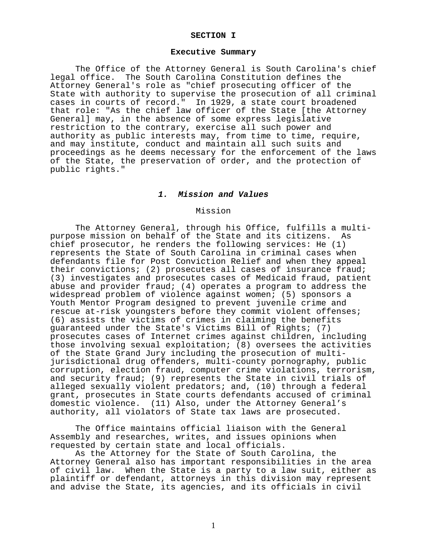#### **SECTION I**

#### **Executive Summary**

 The Office of the Attorney General is South Carolina's chief legal office. The South Carolina Constitution defines the Attorney General's role as "chief prosecuting officer of the State with authority to supervise the prosecution of all criminal cases in courts of record." In 1929, a state court broadened that role: "As the chief law officer of the State [the Attorney General] may, in the absence of some express legislative restriction to the contrary, exercise all such power and authority as public interests may, from time to time, require, and may institute, conduct and maintain all such suits and proceedings as he deems necessary for the enforcement of the laws of the State, the preservation of order, and the protection of public rights."

#### *1. Mission and Values*

## Mission

 The Attorney General, through his Office, fulfills a multi- purpose mission on behalf of the State and its citizens. As chief prosecutor, he renders the following services: He (1) represents the State of South Carolina in criminal cases when defendants file for Post Conviction Relief and when they appeal their convictions; (2) prosecutes all cases of insurance fraud; (3) investigates and prosecutes cases of Medicaid fraud, patient abuse and provider fraud; (4) operates a program to address the widespread problem of violence against women; (5) sponsors a Youth Mentor Program designed to prevent juvenile crime and rescue at-risk youngsters before they commit violent offenses; (6) assists the victims of crimes in claiming the benefits guaranteed under the State's Victims Bill of Rights; (7) prosecutes cases of Internet crimes against children, including those involving sexual exploitation; (8) oversees the activities of the State Grand Jury including the prosecution of multijurisdictional drug offenders, multi-county pornography, public corruption, election fraud, computer crime violations, terrorism, and security fraud; (9) represents the State in civil trials of alleged sexually violent predators; and, (10) through a federal grant, prosecutes in State courts defendants accused of criminal domestic violence. (11) Also, under the Attorney General's authority, all violators of State tax laws are prosecuted.

 The Office maintains official liaison with the General Assembly and researches, writes, and issues opinions when requested by certain state and local officials.

 As the Attorney for the State of South Carolina, the Attorney General also has important responsibilities in the area of civil law. When the State is a party to a law suit, either as plaintiff or defendant, attorneys in this division may represent and advise the State, its agencies, and its officials in civil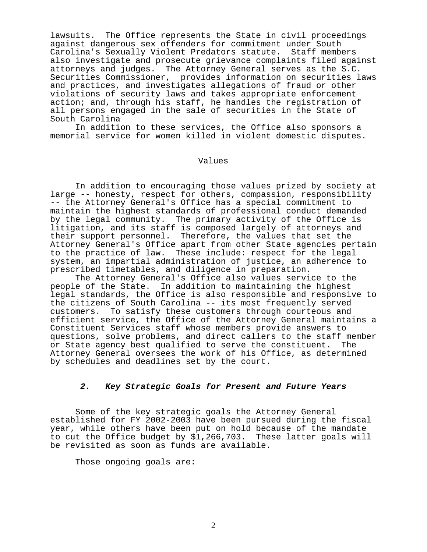lawsuits. The Office represents the State in civil proceedings against dangerous sex offenders for commitment under South Carolina's Sexually Violent Predators statute. Staff members also investigate and prosecute grievance complaints filed against attorneys and judges. The Attorney General serves as the S.C. Securities Commissioner, provides information on securities laws and practices, and investigates allegations of fraud or other violations of security laws and takes appropriate enforcement action; and, through his staff, he handles the registration of all persons engaged in the sale of securities in the State of South Carolina

 In addition to these services, the Office also sponsors a memorial service for women killed in violent domestic disputes.

### Values

In addition to encouraging those values prized by society at<br>large -- honesty, respect for others, compassion, responsibility -- the Attorney General's Office has a special commitment to maintain the highest standards of professional conduct demanded by the legal community. The primary activity of the Office is litigation, and its staff is composed largely of attorneys and their support personnel. Therefore, the values that set the Attorney General's Office apart from other State agencies pertain to the practice of law. These include: respect for the legal system, an impartial administration of justice, an adherence to prescribed timetables, and diligence in preparation.

 The Attorney General's Office also values service to the people of the State. In addition to maintaining the highest legal standards, the Office is also responsible and responsive to the citizens of South Carolina -- its most frequently served customers. To satisfy these customers through courteous and efficient service, the Office of the Attorney General maintains a Constituent Services staff whose members provide answers to questions, solve problems, and direct callers to the staff member<br>or State agency best qualified to serve the constituent. The or State agency best qualified to serve the constituent. Attorney General oversees the work of his Office, as determined by schedules and deadlines set by the court.

## *2. Key Strategic Goals for Present and Future Years*

 Some of the key strategic goals the Attorney General established for FY 2002-2003 have been pursued during the fiscal year, while others have been put on hold because of the mandate to cut the Office budget by \$1,266,703. These latter goals will be revisited as soon as funds are available.

Those ongoing goals are: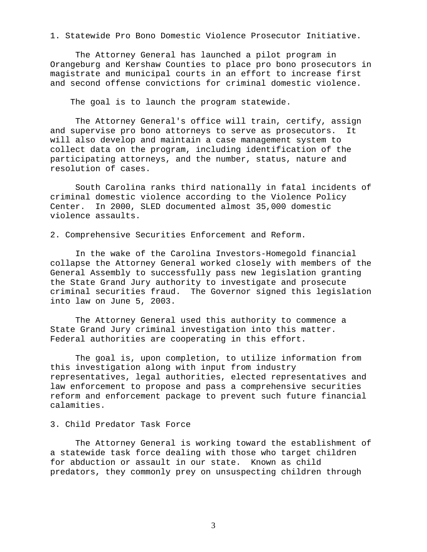1. Statewide Pro Bono Domestic Violence Prosecutor Initiative.

 The Attorney General has launched a pilot program in Orangeburg and Kershaw Counties to place pro bono prosecutors in magistrate and municipal courts in an effort to increase first and second offense convictions for criminal domestic violence.

The goal is to launch the program statewide.

 The Attorney General's office will train, certify, assign and supervise pro bono attorneys to serve as prosecutors. It will also develop and maintain a case management system to collect data on the program, including identification of the participating attorneys, and the number, status, nature and resolution of cases.

 South Carolina ranks third nationally in fatal incidents of criminal domestic violence according to the Violence Policy<br>Center. In 2000, SLED documented almost 35,000 domestic In 2000, SLED documented almost 35,000 domestic violence assaults.

2. Comprehensive Securities Enforcement and Reform.

 In the wake of the Carolina Investors-Homegold financial collapse the Attorney General worked closely with members of the General Assembly to successfully pass new legislation granting the State Grand Jury authority to investigate and prosecute criminal securities fraud. The Governor signed this legislation into law on June 5, 2003.

 The Attorney General used this authority to commence a State Grand Jury criminal investigation into this matter. Federal authorities are cooperating in this effort.

 The goal is, upon completion, to utilize information from this investigation along with input from industry representatives, legal authorities, elected representatives and law enforcement to propose and pass a comprehensive securities reform and enforcement package to prevent such future financial calamities.

## 3. Child Predator Task Force

 The Attorney General is working toward the establishment of a statewide task force dealing with those who target children for abduction or assault in our state. Known as child predators, they commonly prey on unsuspecting children through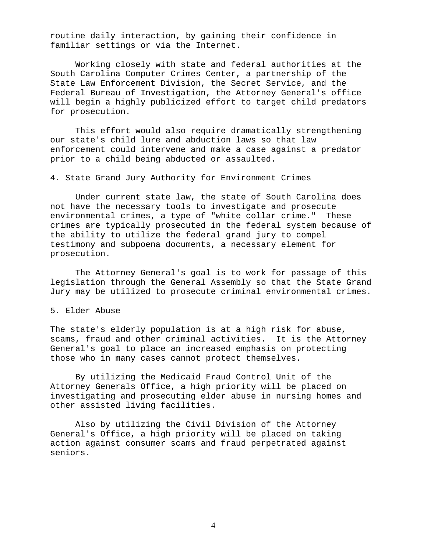routine daily interaction, by gaining their confidence in familiar settings or via the Internet.

 Working closely with state and federal authorities at the South Carolina Computer Crimes Center, a partnership of the State Law Enforcement Division, the Secret Service, and the Federal Bureau of Investigation, the Attorney General's office will begin a highly publicized effort to target child predators for prosecution.

 This effort would also require dramatically strengthening our state's child lure and abduction laws so that law enforcement could intervene and make a case against a predator prior to a child being abducted or assaulted.

4. State Grand Jury Authority for Environment Crimes

 Under current state law, the state of South Carolina does not have the necessary tools to investigate and prosecute environmental crimes, a type of "white collar crime." These crimes are typically prosecuted in the federal system because of the ability to utilize the federal grand jury to compel testimony and subpoena documents, a necessary element for prosecution.

 The Attorney General's goal is to work for passage of this legislation through the General Assembly so that the State Grand Jury may be utilized to prosecute criminal environmental crimes.

#### 5. Elder Abuse

The state's elderly population is at a high risk for abuse, scams, fraud and other criminal activities. It is the Attorney General's goal to place an increased emphasis on protecting those who in many cases cannot protect themselves.

 By utilizing the Medicaid Fraud Control Unit of the Attorney Generals Office, a high priority will be placed on investigating and prosecuting elder abuse in nursing homes and other assisted living facilities.

 Also by utilizing the Civil Division of the Attorney General's Office, a high priority will be placed on taking action against consumer scams and fraud perpetrated against seniors.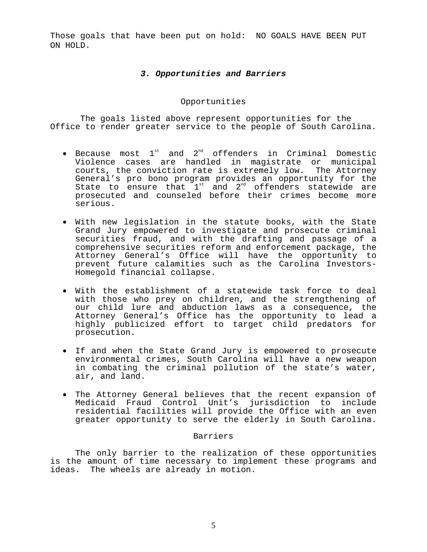Those goals that have been put on hold: NO GOALS HAVE BEEN PUT ON HOLD.

## *3. Opportunities and Barriers*

## Opportunities

 The goals listed above represent opportunities for the Office to render greater service to the people of South Carolina.

- Because most  $1^{st}$  and  $2^{nd}$  offenders in Criminal Domestic Violence cases are handled in magistrate or municipal courts, the conviction rate is extremely low. The Attorney General's pro bono program provides an opportunity for the State to ensure that  $1^{st}$  and  $2^{nd}$  offenders statewide are prosecuted and counseled before their crimes become more serious.
- With new legislation in the statute books, with the State Grand Jury empowered to investigate and prosecute criminal securities fraud, and with the drafting and passage of a comprehensive securities reform and enforcement package, the Attorney General's Office will have the opportunity to prevent future calamities such as the Carolina Investors-Homegold financial collapse.
- With the establishment of a statewide task force to deal with those who prey on children, and the strengthening of our child lure and abduction laws as a consequence, the Attorney General's Office has the opportunity to lead a highly publicized effort to target child predators for prosecution.
- If and when the State Grand Jury is empowered to prosecute environmental crimes, South Carolina will have a new weapon in combating the criminal pollution of the state's water, air, and land.
- The Attorney General believes that the recent expansion of Medicaid Fraud Control Unit's jurisdiction to include residential facilities will provide the Office with an even greater opportunity to serve the elderly in South Carolina.

## Barriers

 The only barrier to the realization of these opportunities is the amount of time necessary to implement these programs and ideas. The wheels are already in motion.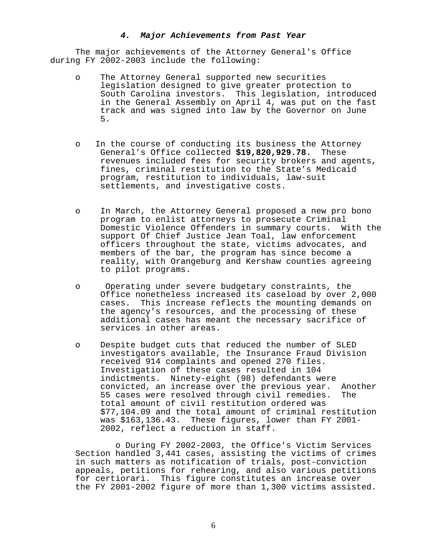#### *4. Major Achievements from Past Year*

 The major achievements of the Attorney General's Office during FY 2002-2003 include the following:

- o The Attorney General supported new securities legislation designed to give greater protection to South Carolina investors. This legislation, introduced in the General Assembly on April 4, was put on the fast track and was signed into law by the Governor on June  $5.$ 
	- o In the course of conducting its business the Attorney General's Office collected **\$19,820,929.78.** These revenues included fees for security brokers and agents, fines, criminal restitution to the State's Medicaid program, restitution to individuals, law-suit settlements, and investigative costs.
	- o In March, the Attorney General proposed a new pro bono program to enlist attorneys to prosecute Criminal Domestic Violence Offenders in summary courts. With the support Of Chief Justice Jean Toal, law enforcement officers throughout the state, victims advocates, and members of the bar, the program has since become a reality, with Orangeburg and Kershaw counties agreeing<br>to pilot programs.
	- o Operating under severe budgetary constraints, the Office nonetheless increased its caseload by over 2,000 cases. This increase reflects the mounting demands on the agency's resources, and the processing of these additional cases has meant the necessary sacrifice of services in other areas.
	- o Despite budget cuts that reduced the number of SLED investigators available, the Insurance Fraud Division received 914 complaints and opened 270 files. Investigation of these cases resulted in 104 indictments. Ninety-eight (98) defendants were<br>convicted, an increase over the previous year. Another convicted, an increase over the previous year. Anot<br>55 cases were resolved through civil remedies. The 55 cases were resolved through civil remedies. total amount of civil restitution ordered was \$77,104.09 and the total amount of criminal restitution was \$163,136.43. These figures, lower than FY 2001- 2002, reflect a reduction in staff.

 o During FY 2002-2003, the Office's Victim Services Section handled 3,441 cases, assisting the victims of crimes in such matters as notification of trials, post-conviction appeals, petitions for rehearing, and also various petitions for certiorari. This figure constitutes an increase over the FY 2001-2002 figure of more than 1,300 victims assisted.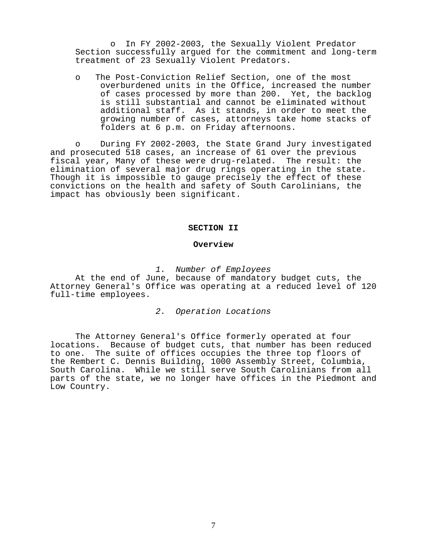o In FY 2002-2003, the Sexually Violent Predator Section successfully argued for the commitment and long-term treatment of 23 Sexually Violent Predators.

o The Post-Conviction Relief Section, one of the most overburdened units in the Office, increased the number of cases processed by more than 200. Yet, the backlog is still substantial and cannot be eliminated without additional staff. As it stands, in order to meet the growing number of cases, attorneys take home stacks of folders at 6 p.m. on Friday afternoons.

o During FY 2002-2003, the State Grand Jury investigated and prosecuted 518 cases, an increase of 61 over the previous fiscal year, Many of these were drug-related. The result: the elimination of several major drug rings operating in the state. Though it is impossible to gauge precisely the effect of these convictions on the health and safety of South Carolinians, the impact has obviously been significant.

#### **SECTION II**

#### **Overview**

*1. Number of Employees*

 At the end of June, because of mandatory budget cuts, the Attorney General's Office was operating at a reduced level of 120 full-time employees.

*2. Operation Locations*

 The Attorney General's Office formerly operated at four locations. Because of budget cuts, that number has been reduced to one. The suite of offices occupies the three top floors of the Rembert C. Dennis Building, 1000 Assembly Street, Columbia, South Carolina. While we still serve South Carolinians from all parts of the state, we no longer have offices in the Piedmont and Low Country.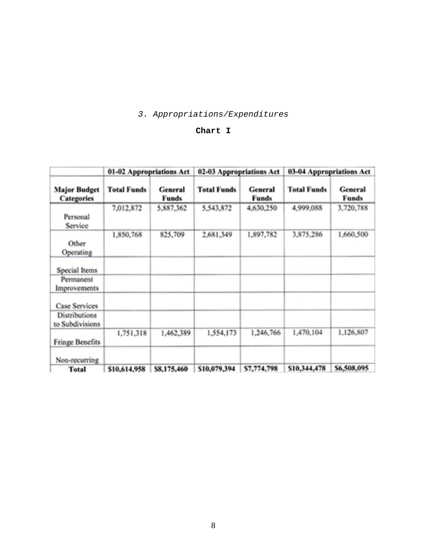# *3. Appropriations/Expenditures*

## **Chart I**

|                                         | 01-02 Appropriations Act |                         | 02-03 Appropriations Act |                         | 03-04 Appropriations Act |                         |  |
|-----------------------------------------|--------------------------|-------------------------|--------------------------|-------------------------|--------------------------|-------------------------|--|
| <b>Major Budget</b><br>Categories       | <b>Total Funds</b>       | General<br><b>Funds</b> | <b>Total Funds</b>       | General<br><b>Funds</b> | <b>Total Funds</b>       | General<br><b>Funds</b> |  |
| Personal<br>Service                     | 7,012,872                | 5,887,362               | 5,543,872                | 4,630,250               | 4,999,088                | 3,720,788               |  |
| Other<br>Operating                      | 1,850,768                | 825,709                 | 2,681,349                | 1,897,782               | 3,875,286                | 1,660,500               |  |
| Special Items                           |                          |                         |                          |                         |                          |                         |  |
| Permanent<br>Improvements               |                          |                         |                          |                         |                          |                         |  |
| <b>Case Services</b>                    |                          |                         |                          |                         |                          |                         |  |
| <b>Distributions</b><br>to Subdivisions |                          |                         |                          |                         |                          |                         |  |
| <b>Fringe Benefits</b>                  | 1,751,318                | 1,462,389               | 1,554,173                | 1,246,766               | 1,470,104                | 1,126,807               |  |
| Non-recurring                           |                          |                         |                          |                         |                          |                         |  |
| Total                                   | \$10,614,958             | \$8,175,460             | \$10,079,394             | \$7,774,798             | \$10,344,478             | \$6,508,095             |  |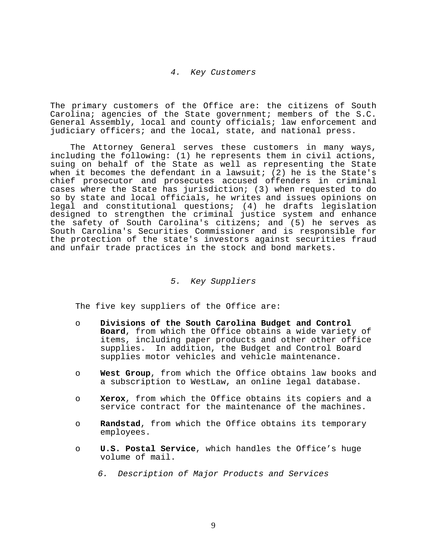#### *4. Key Customers*

 The primary customers of the Office are: the citizens of South Carolina; agencies of the State government; members of the S.C. General Assembly, local and county officials; law enforcement and judiciary officers; and the local, state, and national press.

 The Attorney General serves these customers in many ways, including the following: (1) he represents them in civil actions, suing on behalf of the State as well as representing the State when it becomes the defendant in a lawsuit; (2) he is the State's chief prosecutor and prosecutes accused offenders in criminal cases where the State has jurisdiction; (3) when requested to do so by state and local officials, he writes and issues opinions on legal and constitutional questions; (4) he drafts legislation designed to strengthen the criminal justice system and enhance the safety of South Carolina's citizens; and (5) he serves as South Carolina's Securities Commissioner and is responsible for the protection of the state's investors against securities fraud and unfair trade practices in the stock and bond markets.

## *5. Key Suppliers*

The five key suppliers of the Office are:

- o **Divisions of the South Carolina Budget and Control Board**, from which the Office obtains a wide variety of items, including paper products and other other office supplies. In addition, the Budget and Control Board supplies motor vehicles and vehicle maintenance.
- o **West Group**, from which the Office obtains law books and a subscription to WestLaw, an online legal database.
- o **Xerox**, from which the Office obtains its copiers and a service contract for the maintenance of the machines.
- o **Randstad**, from which the Office obtains its temporary employees.
- o **U.S. Postal Service**, which handles the Office's huge volume of mail.
	- *6. Description of Major Products and Services*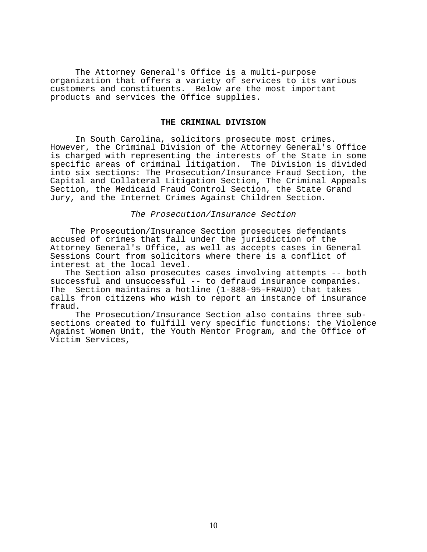The Attorney General's Office is a multi-purpose organization that offers a variety of services to its various customers and constituents. Below are the most important products and services the Office supplies.

#### **THE CRIMINAL DIVISION**

 In South Carolina, solicitors prosecute most crimes. However, the Criminal Division of the Attorney General's Office is charged with representing the interests of the State in some specific areas of criminal litigation. The Division is divided into six sections: The Prosecution/Insurance Fraud Section, the Capital and Collateral Litigation Section, The Criminal Appeals Section, the Medicaid Fraud Control Section, the State Grand Jury, and the Internet Crimes Against Children Section.

#### *The Prosecution/Insurance Section*

 The Prosecution/Insurance Section prosecutes defendants accused of crimes that fall under the jurisdiction of the Attorney General's Office, as well as accepts cases in General Sessions Court from solicitors where there is a conflict of interest at the local level.

 The Section also prosecutes cases involving attempts -- both successful and unsuccessful -- to defraud insurance companies. The Section maintains a hotline (1-888-95-FRAUD) that takes calls from citizens who wish to report an instance of insurance fraud.<br>The Prosecution/Insurance Section also contains three sub-

sections created to fulfill very specific functions: the Violence Against Women Unit, the Youth Mentor Program, and the Office of Victim Services,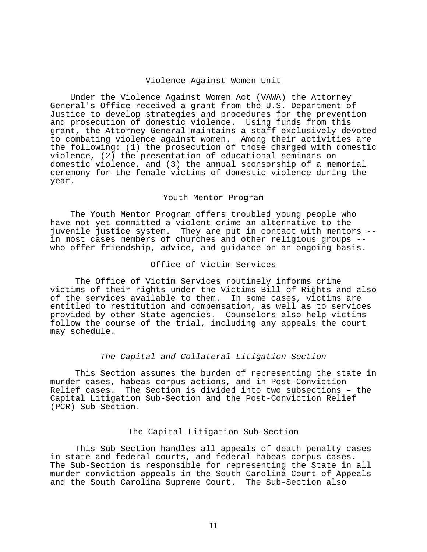#### Violence Against Women Unit

 Under the Violence Against Women Act (VAWA) the Attorney General's Office received a grant from the U.S. Department of Justice to develop strategies and procedures for the prevention and prosecution of domestic violence. Using funds from this grant, the Attorney General maintains a staff exclusively devoted to combating violence against women. Among their activities are the following: (1) the prosecution of those charged with domestic violence, (2) the presentation of educational seminars on domestic violence, and (3) the annual sponsorship of a memorial ceremony for the female victims of domestic violence during the year.

#### Youth Mentor Program

 The Youth Mentor Program offers troubled young people who have not yet committed a violent crime an alternative to the juvenile justice system. They are put in contact with mentors - in most cases members of churches and other religious groups - who offer friendship, advice, and guidance on an ongoing basis.

## Office of Victim Services

 The Office of Victim Services routinely informs crime victims of their rights under the Victims Bill of Rights and also of the services available to them. In some cases, victims are entitled to restitution and compensation, as well as to services provided by other State agencies. Counselors also help victims follow the course of the trial, including any appeals the court may schedule.

#### *The Capital and Collateral Litigation Section*

 This Section assumes the burden of representing the state in murder cases, habeas corpus actions, and in Post-Conviction Relief cases. The Section is divided into two subsections – the Capital Litigation Sub-Section and the Post-Conviction Relief (PCR) Sub-Section.

#### The Capital Litigation Sub-Section

 This Sub-Section handles all appeals of death penalty cases in state and federal courts, and federal habeas corpus cases. The Sub-Section is responsible for representing the State in all murder conviction appeals in the South Carolina Court of Appeals and the South Carolina Supreme Court. The Sub-Section also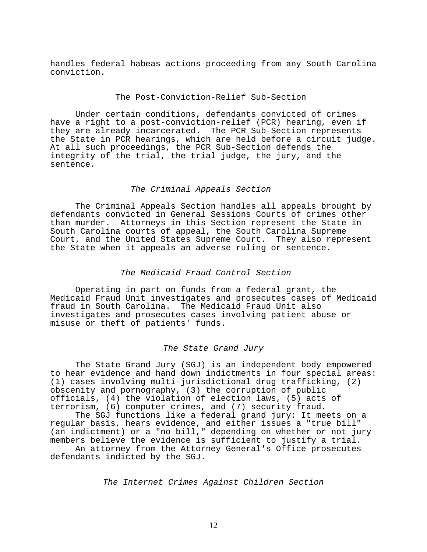handles federal habeas actions proceeding from any South Carolina conviction.

## The Post-Conviction-Relief Sub-Section

 Under certain conditions, defendants convicted of crimes have a right to a post-conviction-relief (PCR) hearing, even if they are already incarcerated. The PCR Sub-Section represents the State in PCR hearings, which are held before a circuit judge. At all such proceedings, the PCR Sub-Section defends the integrity of the trial, the trial judge, the jury, and the sentence.

#### *The Criminal Appeals Section*

 The Criminal Appeals Section handles all appeals brought by defendants convicted in General Sessions Courts of crimes other than murder. Attorneys in this Section represent the State in South Carolina courts of appeal, the South Carolina Supreme Court, and the United States Supreme Court. They also represent the State when it appeals an adverse ruling or sentence.

## *The Medicaid Fraud Control Section*

 Operating in part on funds from a federal grant, the Medicaid Fraud Unit investigates and prosecutes cases of Medicaid fraud in South Carolina. The Medicaid Fraud Unit also investigates and prosecutes cases involving patient abuse or misuse or theft of patients' funds.

#### *The State Grand Jury*

 The State Grand Jury (SGJ) is an independent body empowered to hear evidence and hand down indictments in four special areas: (1) cases involving multi-jurisdictional drug trafficking, (2) obscenity and pornography, (3) the corruption of public officials, (4) the violation of election laws, (5) acts of terrorism, (6) computer crimes, and (7) security fraud.

 The SGJ functions like a federal grand jury: It meets on a regular basis, hears evidence, and either issues a "true bill" (an indictment) or a "no bill," depending on whether or not jury members believe the evidence is sufficient to justify a trial.

 An attorney from the Attorney General's Office prosecutes defendants indicted by the SGJ.

*The Internet Crimes Against Children Section*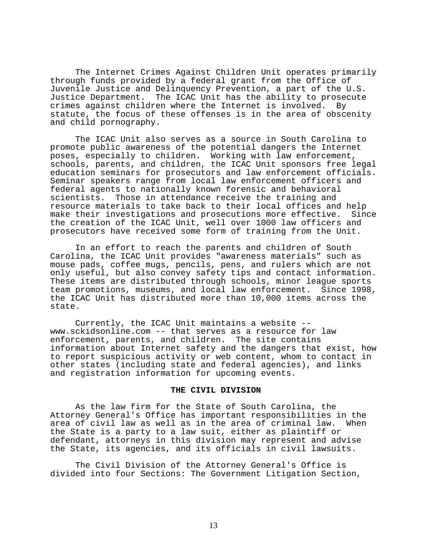The Internet Crimes Against Children Unit operates primarily through funds provided by a federal grant from the Office of Juvenile Justice and Delinquency Prevention, a part of the U.S. Justice Department. The ICAC Unit has the ability to prosecute crimes against children where the Internet is involved. By statute, the focus of these offenses is in the area of obscenity and child pornography.

 The ICAC Unit also serves as a source in South Carolina to promote public awareness of the potential dangers the Internet poses, especially to children. Working with law enforcement, schools, parents, and children, the ICAC Unit sponsors free legal education seminars for prosecutors and law enforcement officials. Seminar speakers range from local law enforcement officers and federal agents to nationally known forensic and behavioral Those in attendance receive the training and resource materials to take back to their local offices and help<br>make their investigations and prosecutions more effective. Since make their investigations and prosecutions more effective. the creation of the ICAC Unit, well over 1000 law officers and prosecutors have received some form of training from the Unit.

 In an effort to reach the parents and children of South Carolina, the ICAC Unit provides "awareness materials" such as mouse pads, coffee mugs, pencils, pens, and rulers which are not only useful, but also convey safety tips and contact information. These items are distributed through schools, minor league sports team promotions, museums, and local law enforcement. Since 1998, the ICAC Unit has distributed more than 10,000 items across the state.

 Currently, the ICAC Unit maintains a website -- www.sckidsonline.com -- that serves as a resource for law enforcement, parents, and children. The site contains information about Internet safety and the dangers that exist, how to report suspicious activity or web content, whom to contact in other states (including state and federal agencies), and links and registration information for upcoming events.

#### **THE CIVIL DIVISION**

 As the law firm for the State of South Carolina, the Attorney General's Office has important responsibilities in the area of civil law as well as in the area of criminal law. the State is a party to a law suit, either as plaintiff or defendant, attorneys in this division may represent and advise the State, its agencies, and its officials in civil lawsuits.

 The Civil Division of the Attorney General's Office is divided into four Sections: The Government Litigation Section,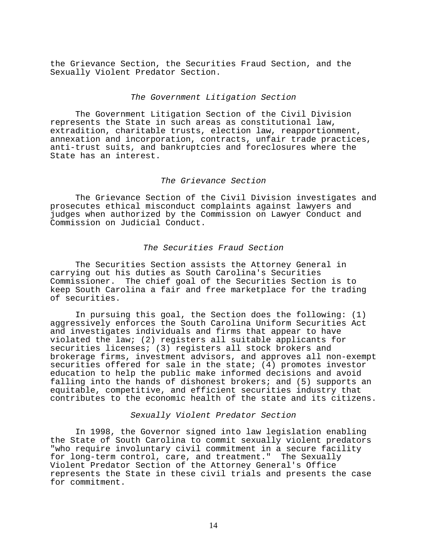the Grievance Section, the Securities Fraud Section, and the Sexually Violent Predator Section.

#### *The Government Litigation Section*

 The Government Litigation Section of the Civil Division represents the State in such areas as constitutional law, extradition, charitable trusts, election law, reapportionment, annexation and incorporation, contracts, unfair trade practices, anti-trust suits, and bankruptcies and foreclosures where the State has an interest.

## *The Grievance Section*

 The Grievance Section of the Civil Division investigates and prosecutes ethical misconduct complaints against lawyers and judges when authorized by the Commission on Lawyer Conduct and Commission on Judicial Conduct.

#### *The Securities Fraud Section*

 The Securities Section assists the Attorney General in carrying out his duties as South Carolina's Securities Commissioner. The chief goal of the Securities Section is to keep South Carolina a fair and free marketplace for the trading of securities.

 In pursuing this goal, the Section does the following: (1) aggressively enforces the South Carolina Uniform Securities Act and investigates individuals and firms that appear to have violated the law; (2) registers all suitable applicants for securities licenses; (3) registers all stock brokers and brokerage firms, investment advisors, and approves all non-exempt securities offered for sale in the state; (4) promotes investor education to help the public make informed decisions and avoid falling into the hands of dishonest brokers; and (5) supports an equitable, competitive, and efficient securities industry that contributes to the economic health of the state and its citizens.

#### *Sexually Violent Predator Section*

 In 1998, the Governor signed into law legislation enabling the State of South Carolina to commit sexually violent predators "who require involuntary civil commitment in a secure facility for long-term control, care, and treatment." The Sexually Violent Predator Section of the Attorney General's Office represents the State in these civil trials and presents the case for commitment.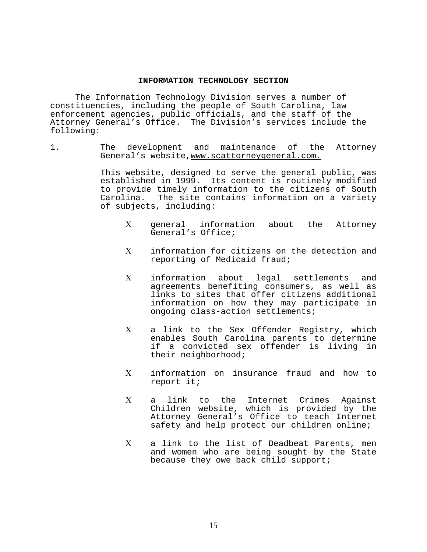#### **INFORMATION TECHNOLOGY SECTION**

 The Information Technology Division serves a number of constituencies, including the people of South Carolina, law enforcement agencies, public officials, and the staff of the Attorney General's Office. The Division's services include the following:

1. The development and maintenance of the Attorney General's website, www.scattorneygeneral.com.

> This website, designed to serve the general public, was established in 1999. Its content is routinely modified to provide timely information to the citizens of South Carolina. The site contains information on a variety of subjects, including:

- Χ general information about the Attorney General's Office;
- Χ information for citizens on the detection and reporting of Medicaid fraud;
- Χ information about legal settlements and agreements benefiting consumers, as well as links to sites that offer citizens additional information on how they may participate in ongoing class-action settlements;
- Χ a link to the Sex Offender Registry, which enables South Carolina parents to determine if a convicted sex offender is living in their neighborhood;
- Χ information on insurance fraud and how to report it;
- Χ a link to the Internet Crimes Against Children website, which is provided by the Attorney General's Office to teach Internet safety and help protect our children online;
- Χ a link to the list of Deadbeat Parents, men and women who are being sought by the State because they owe back child support;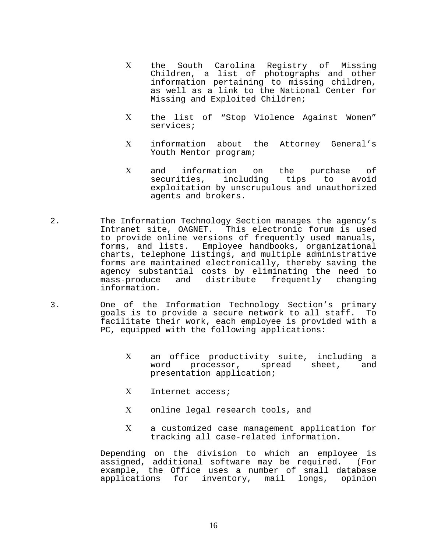- Χ the South Carolina Registry of Missing Children, a list of photographs and other information pertaining to missing children, as well as a link to the National Center for Missing and Exploited Children;
- Χ the list of "Stop Violence Against Women" services;
- Χ information about the Attorney General's Youth Mentor program;
- Χ and information on the purchase of securities, including tips to avoid exploitation by unscrupulous and unauthorized agents and brokers.
- 2. The Information Technology Section manages the agency's Intranet site, OAGNET. This electronic forum is used to provide online versions of frequently used manuals, forms, and lists. Employee handbooks, organizational charts, telephone listings, and multiple administrative forms are maintained electronically, thereby saving the agency substantial costs by eliminating the need to mass-produce and distribute frequently changing information.
- 3. One of the Information Technology Section's primary<br>qoals is to provide a secure network to all staff. To goals is to provide a secure network to all staff. facilitate their work, each employee is provided with a PC, equipped with the following applications:
	- X an office productivity suite, including a<br>word processor, spread sheet, and spread sheet, and presentation application;
	- Χ Internet access;
	- Χ online legal research tools, and
	- Χ a customized case management application for tracking all case-related information.

Depending on the division to which an employee is assigned, additional software may be required. (For example, the Office uses a number of small database<br>applications for inventory, mail longs, opinion applications for inventory, mail longs,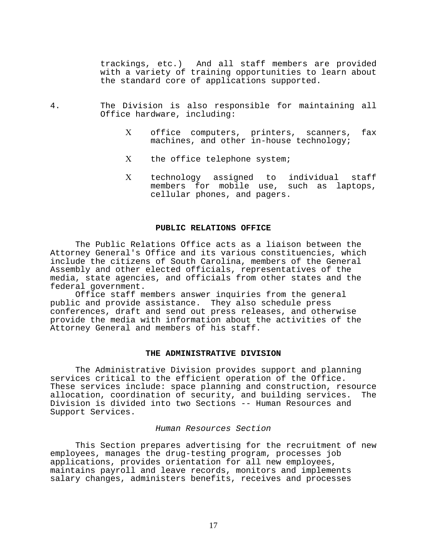trackings, etc.) And all staff members are provided with a variety of training opportunities to learn about the standard core of applications supported.

- 4. The Division is also responsible for maintaining all Office hardware, including:
	- Χ office computers, printers, scanners, fax machines, and other in-house technology;
	- Χ the office telephone system;
	- Χ technology assigned to individual staff members for mobile use, such as laptops, cellular phones, and pagers.

#### **PUBLIC RELATIONS OFFICE**

 The Public Relations Office acts as a liaison between the Attorney General's Office and its various constituencies, which include the citizens of South Carolina, members of the General Assembly and other elected officials, representatives of the media, state agencies, and officials from other states and the federal government.

 Office staff members answer inquiries from the general public and provide assistance. They also schedule press conferences, draft and send out press releases, and otherwise provide the media with information about the activities of the Attorney General and members of his staff.

#### **THE ADMINISTRATIVE DIVISION**

 The Administrative Division provides support and planning services critical to the efficient operation of the Office. These services include: space planning and construction, resource<br>allocation, coordination of security, and building services. The allocation, coordination of security, and building services. Division is divided into two Sections -- Human Resources and Support Services.

#### *Human Resources Section*

 This Section prepares advertising for the recruitment of new employees, manages the drug-testing program, processes job applications, provides orientation for all new employees, maintains payroll and leave records, monitors and implements salary changes, administers benefits, receives and processes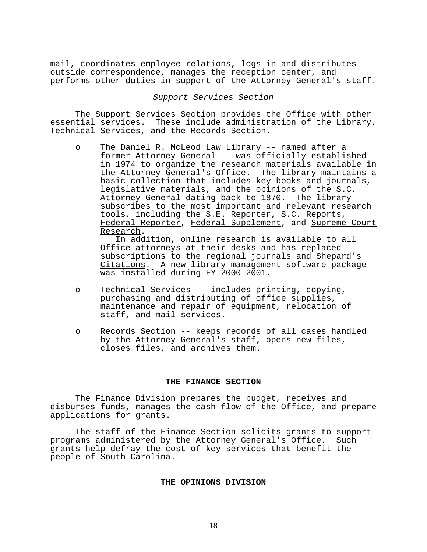mail, coordinates employee relations, logs in and distributes outside correspondence, manages the reception center, and performs other duties in support of the Attorney General's staff.

#### *Support Services Section*

 The Support Services Section provides the Office with other essential services. These include administration of the Library, Technical Services, and the Records Section.

o The Daniel R. McLeod Law Library -- named after a former Attorney General -- was officially established in 1974 to organize the research materials available in the Attorney General's Office. The library maintains a basic collection that includes key books and journals, legislative materials, and the opinions of the S.C. Attorney General dating back to 1870. The library subscribes to the most important and relevant research tools, including the S.E. Reporter, S.C. Reports, Federal Reporter, Federal Supplement, and Supreme Court Research.

 In addition, online research is available to all Office attorneys at their desks and has replaced subscriptions to the regional journals and Shepard's Citations. A new library management software package was installed during FY 2000-2001.

- o Technical Services -- includes printing, copying, purchasing and distributing of office supplies, maintenance and repair of equipment, relocation of staff, and mail services.
- o Records Section -- keeps records of all cases handled by the Attorney General's staff, opens new files, closes files, and archives them.

#### **THE FINANCE SECTION**

 The Finance Division prepares the budget, receives and disburses funds, manages the cash flow of the Office, and prepare applications for grants.

 The staff of the Finance Section solicits grants to support programs administered by the Attorney General's Office. Such grants help defray the cost of key services that benefit the people of South Carolina.

## **THE OPINIONS DIVISION**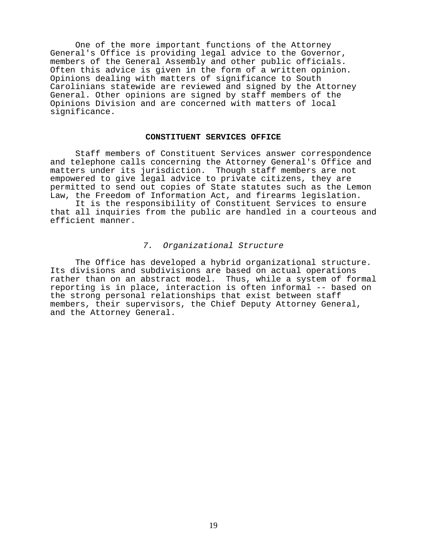One of the more important functions of the Attorney General's Office is providing legal advice to the Governor, members of the General Assembly and other public officials. Often this advice is given in the form of a written opinion. Opinions dealing with matters of significance to South Carolinians statewide are reviewed and signed by the Attorney General. Other opinions are signed by staff members of the Opinions Division and are concerned with matters of local significance.

#### **CONSTITUENT SERVICES OFFICE**

 Staff members of Constituent Services answer correspondence and telephone calls concerning the Attorney General's Office and matters under its jurisdiction. Though staff members are not empowered to give legal advice to private citizens, they are permitted to send out copies of State statutes such as the Lemon<br>Law, the Freedom of Information Act, and firearms legislation.

It is the responsibility of Constituent Services to ensure that all inquiries from the public are handled in a courteous and efficient manner.

## *7. Organizational Structure*

 The Office has developed a hybrid organizational structure. Its divisions and subdivisions are based on actual operations rather than on an abstract model. Thus, while a system of formal reporting is in place, interaction is often informal -- based on the strong personal relationships that exist between staff members, their supervisors, the Chief Deputy Attorney General, and the Attorney General.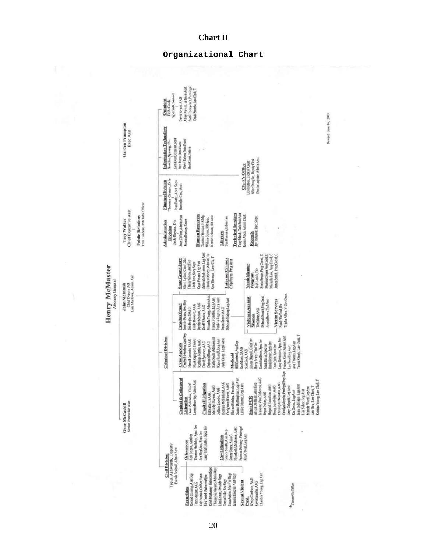

## **Chart II**

#### **Organizational Chart**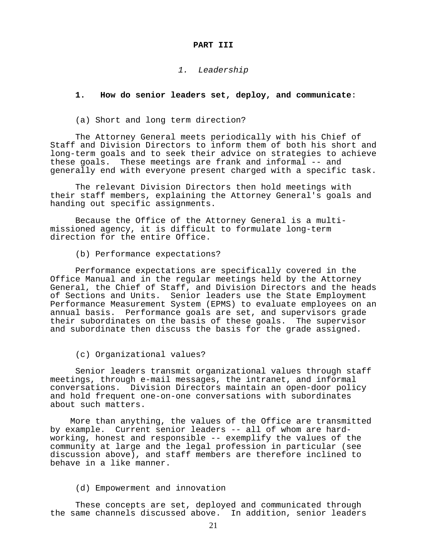#### **PART III**

#### *1. Leadership*

## **1. How do senior leaders set, deploy, and communicate**:

(a) Short and long term direction?

 The Attorney General meets periodically with his Chief of Staff and Division Directors to inform them of both his short and long-term goals and to seek their advice on strategies to achieve these goals. These meetings are frank and informal -- and generally end with everyone present charged with a specific task.

 The relevant Division Directors then hold meetings with their staff members, explaining the Attorney General's goals and handing out specific assignments.

 Because the Office of the Attorney General is a multi- missioned agency, it is difficult to formulate long-term direction for the entire Office.

(b) Performance expectations?

 Performance expectations are specifically covered in the Office Manual and in the regular meetings held by the Attorney General, the Chief of Staff, and Division Directors and the heads of Sections and Units. Senior leaders use the State Employment Performance Measurement System (EPMS) to evaluate employees on an annual basis. Performance goals are set, and supervisors grade their subordinates on the basis of these goals. The supervisor and subordinate then discuss the basis for the grade assigned.

(c) Organizational values?

 Senior leaders transmit organizational values through staff meetings, through e-mail messages, the intranet, and informal conversations. Division Directors maintain an open-door policy and hold frequent one-on-one conversations with subordinates about such matters.

More than anything, the values of the Office are transmitted<br>by example. Current senior leaders -- all of whom are hardworking, honest and responsible -- exemplify the values of the community at large and the legal profession in particular (see discussion above), and staff members are therefore inclined to behave in a like manner.

(d) Empowerment and innovation

 These concepts are set, deployed and communicated through the same channels discussed above. In addition, senior leaders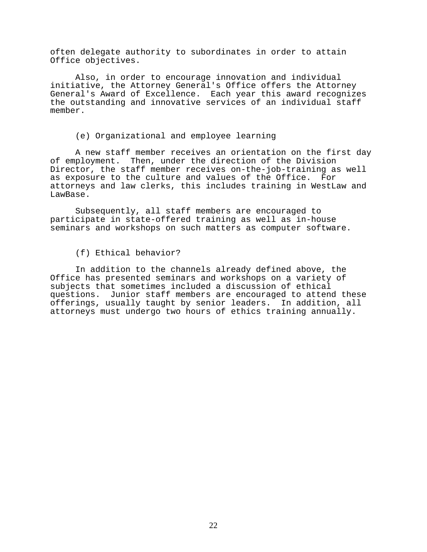often delegate authority to subordinates in order to attain Office objectives.

 Also, in order to encourage innovation and individual initiative, the Attorney General's Office offers the Attorney General's Award of Excellence. Each year this award recognizes the outstanding and innovative services of an individual staff member.

#### (e) Organizational and employee learning

 A new staff member receives an orientation on the first day of employment. Then, under the direction of the Division Director, the staff member receives on-the-job-training as well as exposure to the culture and values of the Office. For attorneys and law clerks, this includes training in WestLaw and LawBase.

 Subsequently, all staff members are encouraged to participate in state-offered training as well as in-house seminars and workshops on such matters as computer software.

## (f) Ethical behavior?

 In addition to the channels already defined above, the Office has presented seminars and workshops on a variety of subjects that sometimes included a discussion of ethical questions. Junior staff members are encouraged to attend these offerings, usually taught by senior leaders. In addition, all attorneys must undergo two hours of ethics training annually.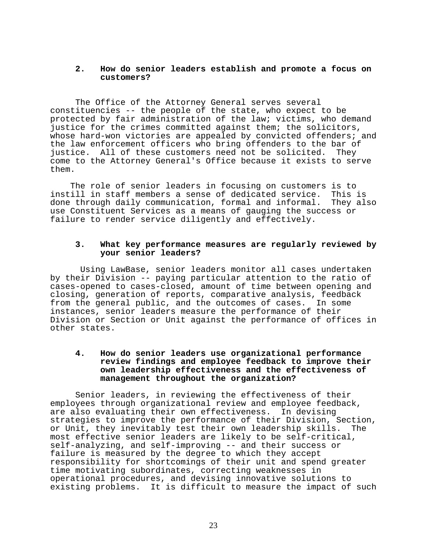## **2. How do senior leaders establish and promote a focus on customers?**

 The Office of the Attorney General serves several constituencies -- the people of the state, who expect to be protected by fair administration of the law; victims, who demand justice for the crimes committed against them; the solicitors, whose hard-won victories are appealed by convicted offenders; and the law enforcement officers who bring offenders to the bar of<br>iustice. All of these customers need not be solicited. They justice. All of these customers need not be solicited. come to the Attorney General's Office because it exists to serve them.

 The role of senior leaders in focusing on customers is to instill in staff members a sense of dedicated service. This is<br>done through daily communication, formal and informal. They also done through daily communication, formal and informal. use Constituent Services as a means of gauging the success or failure to render service diligently and effectively.

## **3. What key performance measures are regularly reviewed by your senior leaders?**

 Using LawBase, senior leaders monitor all cases undertaken by their Division -- paying particular attention to the ratio of cases-opened to cases-closed, amount of time between opening and closing, generation of reports, comparative analysis, feedback from the general public, and the outcomes of cases. In some instances, senior leaders measure the performance of their Division or Section or Unit against the performance of offices in other states.

## **4. How do senior leaders use organizational performance review findings and employee feedback to improve their own leadership effectiveness and the effectiveness of management throughout the organization?**

 Senior leaders, in reviewing the effectiveness of their employees through organizational review and employee feedback, are also evaluating their own effectiveness. In devising strategies to improve the performance of their Division, Section,<br>or Unit, they inevitably test their own leadership skills. The or Unit, they inevitably test their own leadership skills. most effective senior leaders are likely to be self-critical, self-analyzing, and self-improving -- and their success or failure is measured by the degree to which they accept responsibility for shortcomings of their unit and spend greater time motivating subordinates, correcting weaknesses in operational procedures, and devising innovative solutions to existing problems. It is difficult to measure the impact of such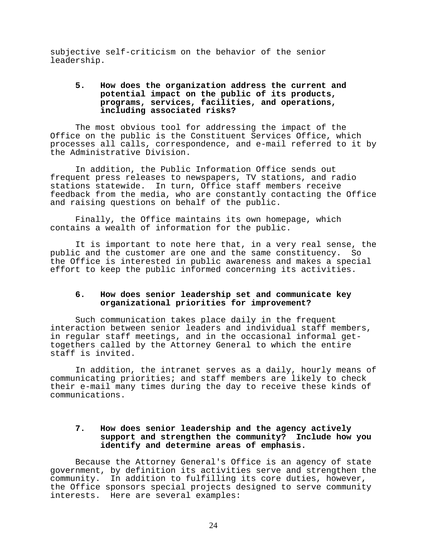subjective self-criticism on the behavior of the senior leadership.

## **5. How does the organization address the current and potential impact on the public of its products, programs, services, facilities, and operations, including associated risks?**

 The most obvious tool for addressing the impact of the Office on the public is the Constituent Services Office, which processes all calls, correspondence, and e-mail referred to it by the Administrative Division.

 In addition, the Public Information Office sends out frequent press releases to newspapers, TV stations, and radio stations statewide. In turn, Office staff members receive feedback from the media, who are constantly contacting the Office and raising questions on behalf of the public.

 Finally, the Office maintains its own homepage, which contains a wealth of information for the public.

 It is important to note here that, in a very real sense, the public and the customer are one and the same constituency. So the Office is interested in public awareness and makes a special effort to keep the public informed concerning its activities.

## **6. How does senior leadership set and communicate key organizational priorities for improvement?**

 Such communication takes place daily in the frequent interaction between senior leaders and individual staff members, in regular staff meetings, and in the occasional informal gettogethers called by the Attorney General to which the entire staff is invited.

 In addition, the intranet serves as a daily, hourly means of communicating priorities; and staff members are likely to check their e-mail many times during the day to receive these kinds of communications.

## **7. How does senior leadership and the agency actively support and strengthen the community? Include how you identify and determine areas of emphasis.**

 Because the Attorney General's Office is an agency of state government, by definition its activities serve and strengthen the community. In addition to fulfilling its core duties, however, the Office sponsors special projects designed to serve community interests. Here are several examples: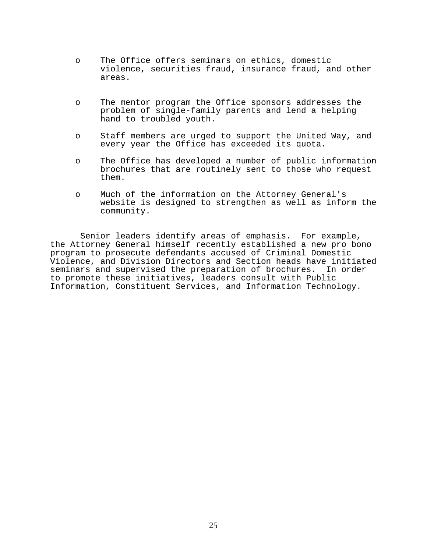- o The Office offers seminars on ethics, domestic violence, securities fraud, insurance fraud, and other areas.
- o The mentor program the Office sponsors addresses the problem of single-family parents and lend a helping hand to troubled youth.
- o Staff members are urged to support the United Way, and every year the Office has exceeded its quota.
- o The Office has developed a number of public information brochures that are routinely sent to those who request them.
- o Much of the information on the Attorney General's website is designed to strengthen as well as inform the community.

 Senior leaders identify areas of emphasis. For example, the Attorney General himself recently established a new pro bono program to prosecute defendants accused of Criminal Domestic Violence, and Division Directors and Section heads have initiated seminars and supervised the preparation of brochures. In order to promote these initiatives, leaders consult with Public Information, Constituent Services, and Information Technology.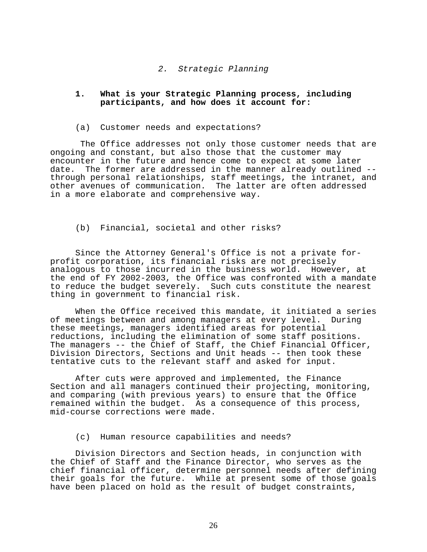#### *2. Strategic Planning*

## **1. What is your Strategic Planning process, including participants, and how does it account for:**

#### (a) Customer needs and expectations?

 The Office addresses not only those customer needs that are ongoing and constant, but also those that the customer may encounter in the future and hence come to expect at some later<br>date. The former are addressed in the manner already outlined -through personal relationships, staff meetings, the intranet, and other avenues of communication. The latter are often addressed in a more elaborate and comprehensive way.

#### (b) Financial, societal and other risks?

 Since the Attorney General's Office is not a private for- profit corporation, its financial risks are not precisely analogous to those incurred in the business world. However, at the end of FY 2002-2003, the Office was confronted with a mandate to reduce the budget severely. Such cuts constitute the nearest thing in government to financial risk.

 When the Office received this mandate, it initiated a series of meetings between and among managers at every level. During these meetings, managers identified areas for potential reductions, including the elimination of some staff positions. The managers -- the Chief of Staff, the Chief Financial Officer, Division Directors, Sections and Unit heads -- then took these tentative cuts to the relevant staff and asked for input.

 After cuts were approved and implemented, the Finance Section and all managers continued their projecting, monitoring, and comparing (with previous years) to ensure that the Office remained within the budget. As a consequence of this process, mid-course corrections were made.

## (c) Human resource capabilities and needs?

 Division Directors and Section heads, in conjunction with the Chief of Staff and the Finance Director, who serves as the chief financial officer, determine personnel needs after defining their goals for the future. While at present some of those goals have been placed on hold as the result of budget constraints,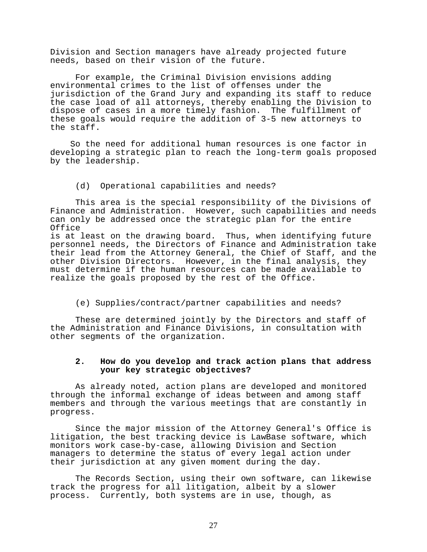Division and Section managers have already projected future needs, based on their vision of the future.

 For example, the Criminal Division envisions adding environmental crimes to the list of offenses under the jurisdiction of the Grand Jury and expanding its staff to reduce the case load of all attorneys, thereby enabling the Division to dispose of cases in a more timely fashion. The fulfillment of these goals would require the addition of 3-5 new attorneys to the staff.

 So the need for additional human resources is one factor in developing a strategic plan to reach the long-term goals proposed by the leadership.

#### (d) Operational capabilities and needs?

 This area is the special responsibility of the Divisions of Finance and Administration. However, such capabilities and needs can only be addressed once the strategic plan for the entire Office

is at least on the drawing board. Thus, when identifying future personnel needs, the Directors of Finance and Administration take their lead from the Attorney General, the Chief of Staff, and the other Division Directors. However, in the final analysis, they must determine if the human resources can be made available to realize the goals proposed by the rest of the Office.

(e) Supplies/contract/partner capabilities and needs?

 These are determined jointly by the Directors and staff of the Administration and Finance Divisions, in consultation with other segments of the organization.

## **2. How do you develop and track action plans that address your key strategic objectives?**

 As already noted, action plans are developed and monitored through the informal exchange of ideas between and among staff members and through the various meetings that are constantly in progress.

 Since the major mission of the Attorney General's Office is litigation, the best tracking device is LawBase software, which monitors work case-by-case, allowing Division and Section managers to determine the status of every legal action under their jurisdiction at any given moment during the day.

 The Records Section, using their own software, can likewise track the progress for all litigation, albeit by a slower process. Currently, both systems are in use, though, as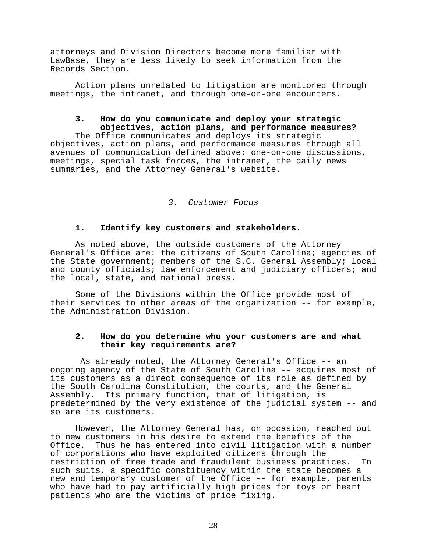attorneys and Division Directors become more familiar with LawBase, they are less likely to seek information from the Records Section.

 Action plans unrelated to litigation are monitored through meetings, the intranet, and through one-on-one encounters.

## **3. How do you communicate and deploy your strategic objectives, action plans, and performance measures?**

 The Office communicates and deploys its strategic objectives, action plans, and performance measures through all avenues of communication defined above: one-on-one discussions, meetings, special task forces, the intranet, the daily news summaries, and the Attorney General's website.

## *3. Customer Focus*

#### **1. Identify key customers and stakeholders**.

 As noted above, the outside customers of the Attorney General's Office are: the citizens of South Carolina; agencies of the State government; members of the S.C. General Assembly; local and county officials; law enforcement and judiciary officers; and the local, state, and national press.

 Some of the Divisions within the Office provide most of their services to other areas of the organization -- for example, the Administration Division.

## **2. How do you determine who your customers are and what their key requirements are?**

 As already noted, the Attorney General's Office -- an ongoing agency of the State of South Carolina -- acquires most of its customers as a direct consequence of its role as defined by the South Carolina Constitution, the courts, and the General Assembly. Its primary function, that of litigation, is predetermined by the very existence of the judicial system -- and so are its customers.

 However, the Attorney General has, on occasion, reached out to new customers in his desire to extend the benefits of the Office. Thus he has entered into civil litigation with a number of corporations who have exploited citizens through the restriction of free trade and fraudulent business practices. In such suits, a specific constituency within the state becomes a new and temporary customer of the Office -- for example, parents who have had to pay artificially high prices for toys or heart patients who are the victims of price fixing.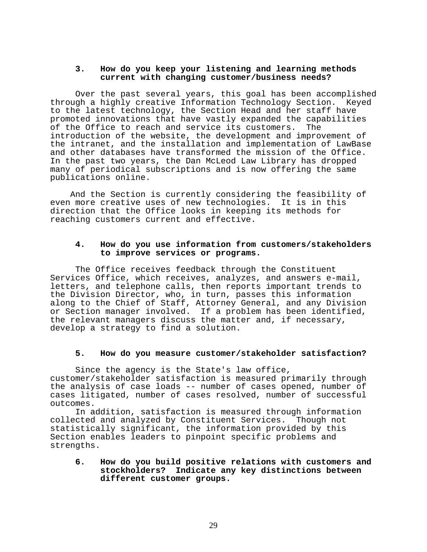## **3. How do you keep your listening and learning methods current with changing customer/business needs?**

 Over the past several years, this goal has been accomplished through a highly creative Information Technology Section. Keyed to the latest technology, the Section Head and her staff have promoted innovations that have vastly expanded the capabilities of the Office to reach and service its customers. The introduction of the website, the development and improvement of the intranet, and the installation and implementation of LawBase and other databases have transformed the mission of the Office. In the past two years, the Dan McLeod Law Library has dropped many of periodical subscriptions and is now offering the same publications online.

 And the Section is currently considering the feasibility of even more creative uses of new technologies. It is in this direction that the Office looks in keeping its methods for reaching customers current and effective.

## **4. How do you use information from customers/stakeholders to improve services or programs.**

 The Office receives feedback through the Constituent Services Office, which receives, analyzes, and answers e-mail, letters, and telephone calls, then reports important trends to the Division Director, who, in turn, passes this information along to the Chief of Staff, Attorney General, and any Division or Section manager involved. If a problem has been identified, the relevant managers discuss the matter and, if necessary, develop a strategy to find a solution.

#### **5. How do you measure customer/stakeholder satisfaction?**

 Since the agency is the State's law office, customer/stakeholder satisfaction is measured primarily through the analysis of case loads -- number of cases opened, number of cases litigated, number of cases resolved, number of successful outcomes.

 In addition, satisfaction is measured through information collected and analyzed by Constituent Services. Though not statistically significant, the information provided by this Section enables leaders to pinpoint specific problems and strengths.

## **6. How do you build positive relations with customers and stockholders? Indicate any key distinctions between different customer groups.**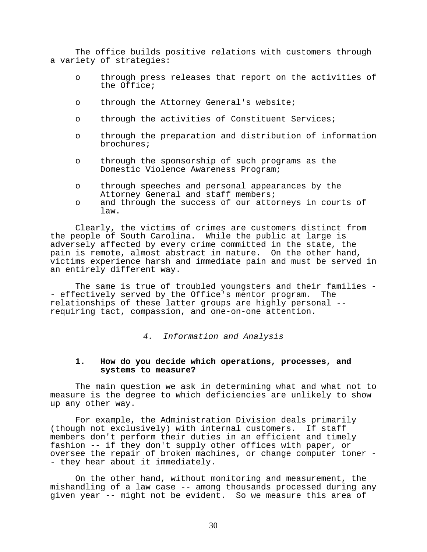The office builds positive relations with customers through a variety of strategies:

- o through press releases that report on the activities of the Office;
- o through the Attorney General's website;
- o through the activities of Constituent Services;
- o through the preparation and distribution of information brochures;
- o through the sponsorship of such programs as the Domestic Violence Awareness Program;
- o through speeches and personal appearances by the Attorney General and staff members;
- o and through the success of our attorneys in courts of law.

 Clearly, the victims of crimes are customers distinct from the people of South Carolina. While the public at large is adversely affected by every crime committed in the state, the pain is remote, almost abstract in nature. On the other hand, victims experience harsh and immediate pain and must be served in an entirely different way.

The same is true of troubled youngsters and their families -<br>ectively served by the Office's mentor program. The - effectively served by the Office's mentor program. relationships of these latter groups are highly personal - requiring tact, compassion, and one-on-one attention.

*4. Information and Analysis*

## **1. How do you decide which operations, processes, and systems to measure?**

 The main question we ask in determining what and what not to measure is the degree to which deficiencies are unlikely to show up any other way.

 For example, the Administration Division deals primarily (though not exclusively) with internal customers. If staff members don't perform their duties in an efficient and timely fashion -- if they don't supply other offices with paper, or oversee the repair of broken machines, or change computer toner -<br>- they hear about it immediately.

 On the other hand, without monitoring and measurement, the mishandling of a law case -- among thousands processed during any given year -- might not be evident. So we measure this area of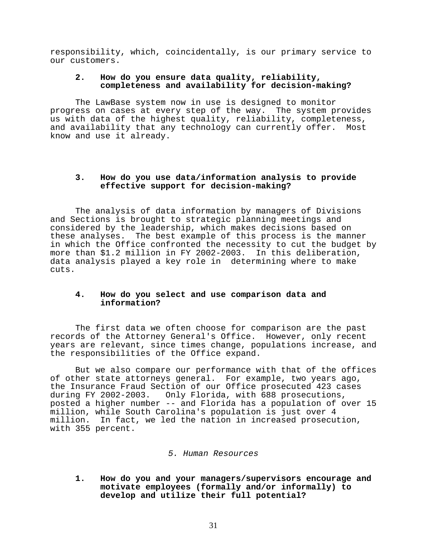responsibility, which, coincidentally, is our primary service to our customers.

## **2. How do you ensure data quality, reliability, completeness and availability for decision-making?**

 The LawBase system now in use is designed to monitor progress on cases at every step of the way. The system provides us with data of the highest quality, reliability, completeness, and availability that any technology can currently offer. Most know and use it already.

## **3. How do you use data/information analysis to provide effective support for decision-making?**

 The analysis of data information by managers of Divisions and Sections is brought to strategic planning meetings and considered by the leadership, which makes decisions based on these analyses. The best example of this process is the manner in which the Office confronted the necessity to cut the budget by more than \$1.2 million in FY 2002-2003. In this deliberation, data analysis played a key role in determining where to make cuts.

## **4. How do you select and use comparison data and information?**

The first data we often choose for comparison are the past records of the Attorney General's Office. However, only recent years are relevant, since times change, populations increase, and the responsibilities of the Office expand.

 But we also compare our performance with that of the offices of other state attorneys general. For example, two years ago, the Insurance Fraud Section of our Office prosecuted 423 cases during FY 2002-2003. Only Florida, with 688 prosecutions, posted a higher number -- and Florida has a population of over 15 million, while South Carolina's population is just over 4 million. In fact, we led the nation in increased prosecution, with 355 percent.

#### *5. Human Resources*

**1. How do you and your managers/supervisors encourage and motivate employees (formally and/or informally) to develop and utilize their full potential?**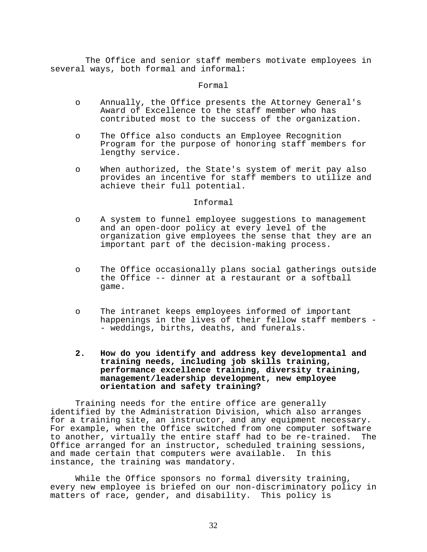The Office and senior staff members motivate employees in several ways, both formal and informal:

#### Formal

- o Annually, the Office presents the Attorney General's Award of Excellence to the staff member who has contributed most to the success of the organization.
- o The Office also conducts an Employee Recognition Program for the purpose of honoring staff members for lengthy service.
- o When authorized, the State's system of merit pay also provides an incentive for staff members to utilize and achieve their full potential.

## Informal

- o A system to funnel employee suggestions to management and an open-door policy at every level of the organization give employees the sense that they are an important part of the decision-making process.
- o The Office occasionally plans social gatherings outside the Office -- dinner at a restaurant or a softball game.
- o The intranet keeps employees informed of important happenings in the lives of their fellow staff members - - weddings, births, deaths, and funerals.
- **2. How do you identify and address key developmental and training needs, including job skills training, performance excellence training, diversity training, management/leadership development, new employee orientation and safety training?**

Training needs for the entire office are generally identified by the Administration Division, which also arranges for a training site, an instructor, and any equipment necessary. For example, when the Office switched from one computer software<br>to another, virtually the entire staff had to be re-trained. The to another, virtually the entire staff had to be re-trained. Office arranged for an instructor, scheduled training sessions, and made certain that computers were available. In this instance, the training was mandatory.

 While the Office sponsors no formal diversity training, every new employee is briefed on our non-discriminatory policy in matters of race, gender, and disability. This policy is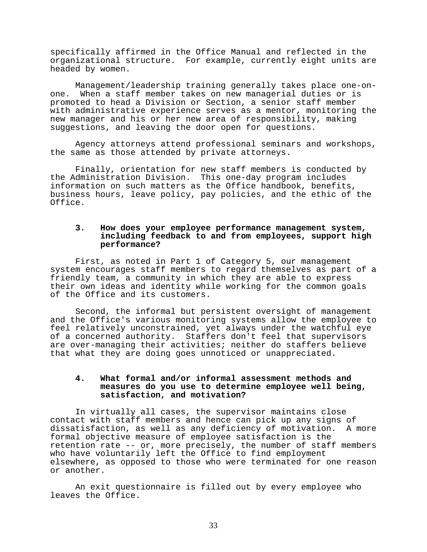specifically affirmed in the Office Manual and reflected in the organizational structure. For example, currently eight units are headed by women.

 Management/leadership training generally takes place one-on- one. When a staff member takes on new managerial duties or is promoted to head a Division or Section, a senior staff member with administrative experience serves as a mentor, monitoring the new manager and his or her new area of responsibility, making suggestions, and leaving the door open for questions.

 Agency attorneys attend professional seminars and workshops, the same as those attended by private attorneys.

 Finally, orientation for new staff members is conducted by the Administration Division. This one-day program includes information on such matters as the Office handbook, benefits, business hours, leave policy, pay policies, and the ethic of the Office.

## **3. How does your employee performance management system, including feedback to and from employees, support high performance?**

 First, as noted in Part 1 of Category 5, our management system encourages staff members to regard themselves as part of a friendly team, a community in which they are able to express their own ideas and identity while working for the common goals of the Office and its customers.

 Second, the informal but persistent oversight of management and the Office's various monitoring systems allow the employee to feel relatively unconstrained, yet always under the watchful eye of a concerned authority. Staffers don't feel that supervisors are over-managing their activities; neither do staffers believe that what they are doing goes unnoticed or unappreciated.

## **4. What formal and/or informal assessment methods and measures do you use to determine employee well being, satisfaction, and motivation?**

 In virtually all cases, the supervisor maintains close contact with staff members and hence can pick up any signs of<br>dissatisfaction, as well as any deficiency of motivation. A more dissatisfaction, as well as any deficiency of motivation. formal objective measure of employee satisfaction is the retention rate -- or, more precisely, the number of staff members who have voluntarily left the Office to find employment elsewhere, as opposed to those who were terminated for one reason or another.

 An exit questionnaire is filled out by every employee who leaves the Office.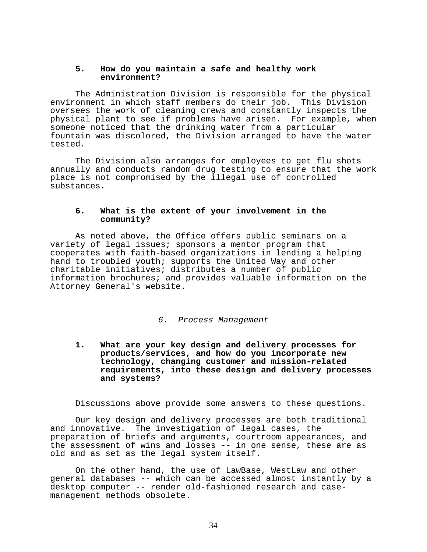## **5. How do you maintain a safe and healthy work environment?**

 The Administration Division is responsible for the physical environment in which staff members do their job. This Division oversees the work of cleaning crews and constantly inspects the physical plant to see if problems have arisen. For example, when someone noticed that the drinking water from a particular fountain was discolored, the Division arranged to have the water tested.

 The Division also arranges for employees to get flu shots annually and conducts random drug testing to ensure that the work place is not compromised by the illegal use of controlled substances.

## **6. What is the extent of your involvement in the community?**

 As noted above, the Office offers public seminars on a variety of legal issues; sponsors a mentor program that cooperates with faith-based organizations in lending a helping hand to troubled youth; supports the United Way and other charitable initiatives; distributes a number of public information brochures; and provides valuable information on the Attorney General's website.

#### *6. Process Management*

**1. What are your key design and delivery processes for products/services, and how do you incorporate new technology, changing customer and mission-related requirements, into these design and delivery processes and systems?**

Discussions above provide some answers to these questions.

 Our key design and delivery processes are both traditional and innovative. The investigation of legal cases, the preparation of briefs and arguments, courtroom appearances, and the assessment of wins and losses -- in one sense, these are as old and as set as the legal system itself.

 On the other hand, the use of LawBase, WestLaw and other general databases -- which can be accessed almost instantly by a desktop computer -- render old-fashioned research and casemanagement methods obsolete.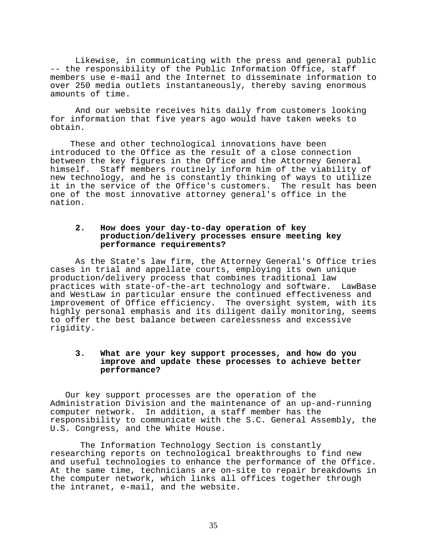Likewise, in communicating with the press and general public -- the responsibility of the Public Information Office, staff members use e-mail and the Internet to disseminate information to over 250 media outlets instantaneously, thereby saving enormous amounts of time.

 And our website receives hits daily from customers looking for information that five years ago would have taken weeks to obtain.

 These and other technological innovations have been introduced to the Office as the result of a close connection between the key figures in the Office and the Attorney General himself. Staff members routinely inform him of the viability of new technology, and he is constantly thinking of ways to utilize it in the service of the Office's customers. The result has been one of the most innovative attorney general's office in the nation.

## **2. How does your day-to-day operation of key production/delivery processes ensure meeting key performance requirements?**

 As the State's law firm, the Attorney General's Office tries cases in trial and appellate courts, employing its own unique production/delivery process that combines traditional law practices with state-of-the-art technology and software. and WestLaw in particular ensure the continued effectiveness and improvement of Office efficiency. The oversight system, with its highly personal emphasis and its diligent daily monitoring, seems to offer the best balance between carelessness and excessive rigidity.

## **3. What are your key support processes, and how do you improve and update these processes to achieve better performance?**

 Our key support processes are the operation of the Administration Division and the maintenance of an up-and-running computer network. In addition, a staff member has the responsibility to communicate with the S.C. General Assembly, the U.S. Congress, and the White House.

 The Information Technology Section is constantly researching reports on technological breakthroughs to find new and useful technologies to enhance the performance of the Office. At the same time, technicians are on-site to repair breakdowns in the computer network, which links all offices together through the intranet, e-mail, and the website.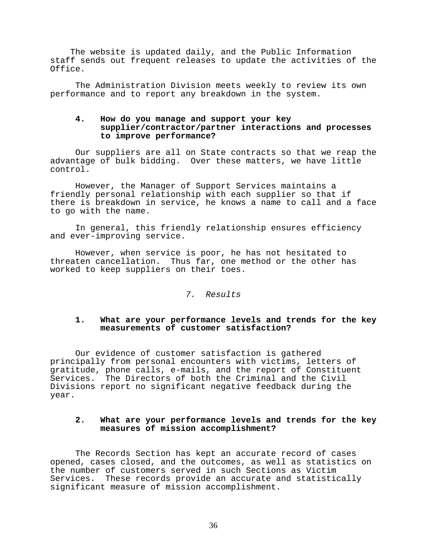The website is updated daily, and the Public Information staff sends out frequent releases to update the activities of the Office.

 The Administration Division meets weekly to review its own performance and to report any breakdown in the system.

## **4. How do you manage and support your key supplier/contractor/partner interactions and processes to improve performance?**

Our suppliers are all on State contracts so that we reap the advantage of bulk bidding. Over these matters, we have little control.

 However, the Manager of Support Services maintains a friendly personal relationship with each supplier so that if there is breakdown in service, he knows a name to call and a face to go with the name.

 In general, this friendly relationship ensures efficiency and ever-improving service.

 However, when service is poor, he has not hesitated to threaten cancellation. Thus far, one method or the other has worked to keep suppliers on their toes.

## *7. Results*

## **1. What are your performance levels and trends for the key measurements of customer satisfaction?**

 Our evidence of customer satisfaction is gathered principally from personal encounters with victims, letters of gratitude, phone calls, e-mails, and the report of Constituent Services. The Directors of both the Criminal and the Civil Divisions report no significant negative feedback during the year.

#### **2. What are your performance levels and trends for the key measures of mission accomplishment?**

The Records Section has kept an accurate record of cases opened, cases closed, and the outcomes, as well as statistics on the number of customers served in such Sections as Victim Services. These records provide an accurate and statistically significant measure of mission accomplishment.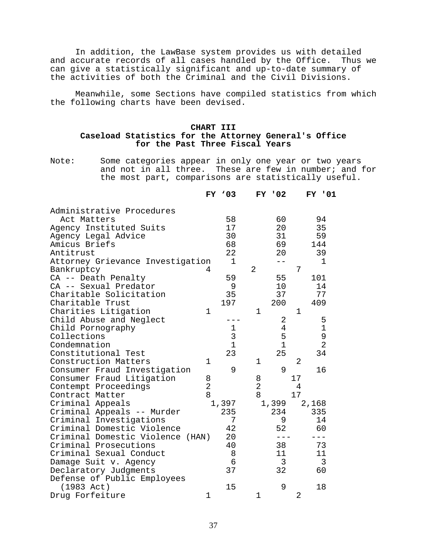In addition, the LawBase system provides us with detailed<br>ccurate records of all cases handled by the Office. Thus we and accurate records of all cases handled by the Office. can give a statistically significant and up-to-date summary of the activities of both the Criminal and the Civil Divisions.

 Meanwhile, some Sections have compiled statistics from which the following charts have been devised.

## **CHART III Caseload Statistics for the Attorney General's Office for the Past Three Fiscal Years**

Note: Some categories appear in only one year or two years and not in all three. These are few in number; and for the most part, comparisons are statistically useful.

|                                  |                | $FY$ $03$                                  |                | <b>FY '02</b>  |             | <b>FY '01</b>  |  |
|----------------------------------|----------------|--------------------------------------------|----------------|----------------|-------------|----------------|--|
| Administrative Procedures        |                |                                            |                |                |             |                |  |
| Act Matters                      |                | 58                                         |                | 60             |             | 94             |  |
| Agency Instituted Suits          |                | 17                                         |                | 20             |             | 35             |  |
| Agency Legal Advice              |                | 30                                         |                | 31             |             | 59             |  |
| Amicus Briefs                    |                | 68                                         |                | 69             |             | 144            |  |
| Antitrust                        |                | 22                                         |                | 20             |             | 39             |  |
| Attorney Grievance Investigation |                | 1                                          |                | $- -$          |             | 1              |  |
| Bankruptcy                       | 4              |                                            | 2              |                | 7           |                |  |
| CA -- Death Penalty              |                | 59                                         |                | 55             |             | 101            |  |
| CA -- Sexual Predator            |                | 9                                          |                | 10             |             | 14             |  |
| Charitable Solicitation          |                | 35                                         |                | 37             |             | 77             |  |
| Charitable Trust                 |                | 197                                        |                | 200            |             | 409            |  |
| Charities Litigation             | 1              |                                            | 1              |                | $\mathbf 1$ |                |  |
| Child Abuse and Neglect          |                |                                            |                | 2              |             | 5              |  |
| Child Pornography                |                |                                            |                | $\overline{4}$ |             | $\mathbf 1$    |  |
| Collections                      |                | $\begin{array}{c} 1 \\ 3 \\ 1 \end{array}$ |                | 5              |             | 9              |  |
| Condemnation                     |                |                                            |                | $\mathbf{1}$   |             | $\overline{2}$ |  |
| Constitutional Test              |                | 23                                         |                | 25             |             | 34             |  |
| Construction Matters             | 1              |                                            | 1              |                | 2           |                |  |
| Consumer Fraud Investigation     |                | 9                                          |                | 9              |             | 16             |  |
| Consumer Fraud Litigation        | 8              |                                            | 8              |                | 17          |                |  |
| Contempt Proceedings             | $\overline{2}$ |                                            | $\overline{2}$ |                | 4           |                |  |
| Contract Matter                  | 8              |                                            | 8              |                | 17          |                |  |
| Criminal Appeals                 |                | 1,397                                      |                | 1,399          |             | 2,168          |  |
| Criminal Appeals -- Murder       |                | 235                                        |                | 234            |             | 335            |  |
| Criminal Investigations          |                | 7                                          |                | 9              |             | 14             |  |
| Criminal Domestic Violence       |                | 42                                         |                | 52             |             | 60             |  |
| Criminal Domestic Violence (HAN) |                | 20                                         |                | $---$          |             | $---$          |  |
| Criminal Prosecutions            |                | 40                                         |                | 38             |             | 73             |  |
| Criminal Sexual Conduct          |                | 8                                          |                | 11             |             | 11             |  |
| Damage Suit v. Agency            |                | 6                                          |                | 3              |             | 3              |  |
| Declaratory Judgments            |                | 37                                         |                | 32             |             | 60             |  |
| Defense of Public Employees      |                |                                            |                |                |             |                |  |
| $(1983 \text{ Act})$             |                | 15                                         |                | 9              |             | 18             |  |
| Drug Forfeiture                  | 1              |                                            | 1              |                | 2           |                |  |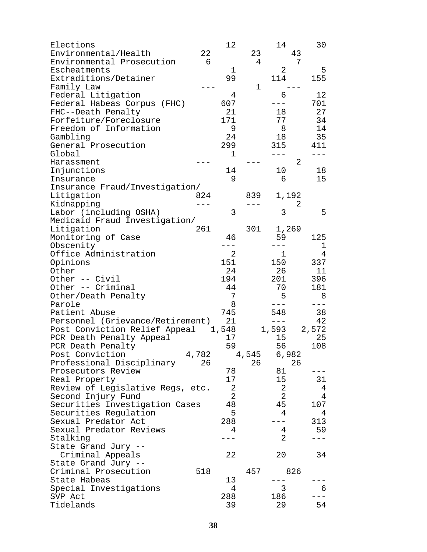| Elections<br>Environmental/Health<br>Environmental Prosecution                                          | 22<br>$6\overline{6}$ | 12                                     | 23<br>4      | 14<br>43<br>7               | 30                    |  |
|---------------------------------------------------------------------------------------------------------|-----------------------|----------------------------------------|--------------|-----------------------------|-----------------------|--|
| Escheatments<br>Extraditions/Detainer<br>Family Law                                                     |                       | $\mathbf{1}$<br>99                     | 1            | 2<br>114                    | 5<br>155              |  |
| Federal Litigation<br>Federal Habeas Corpus (FHC)<br>FHC--Death Penalty                                 |                       | 4<br>607<br>21<br>171                  |              | 6<br>18<br>77               | 12<br>701<br>27<br>34 |  |
| Forfeiture/Foreclosure<br>Freedom of Information<br>Gambling<br>General Prosecution                     |                       | 9<br>24<br>299                         |              | 8<br>18<br>315              | 14<br>35<br>411       |  |
| Global<br>Harassment                                                                                    |                       | 1                                      |              | $---$<br>$\overline{2}$     | $---$                 |  |
| Injunctions<br>Insurance<br>Insurance Fraud/Investigation/                                              |                       | 14<br>9                                |              | 10<br>- 6                   | 18<br>15              |  |
| Litigation<br>Kidnapping                                                                                | 824<br>$---$          |                                        | 839<br>$---$ | 1,192<br>2                  |                       |  |
| Labor (including OSHA)<br>Medicaid Fraud Investigation/                                                 |                       | 3                                      |              | 3                           | 5                     |  |
| Litigation<br>Monitoring of Case                                                                        | 261                   | 46<br>$---$                            |              | 301 1,269<br>59             | 125                   |  |
| Obscenity<br>Office Administration<br>Opinions                                                          |                       | $2^{\circ}$<br>151                     |              | $---$<br>$\mathbf 1$<br>150 | 1<br>4<br>337         |  |
| Other<br>Other -- Civil                                                                                 |                       | 24<br>194                              |              | 26<br>201                   | 11<br>396             |  |
| Other -- Criminal<br>Other/Death Penalty<br>Parole                                                      |                       | 44<br>7<br>8                           |              | 70<br>5<br>$---$            | 181<br>8<br>$---$     |  |
| Patient Abuse<br>Personnel (Grievance/Retirement) 21                                                    |                       | 745                                    |              | 548<br>$---$                | 38<br>42              |  |
| Post Conviction Relief Appeal 1,548<br>PCR Death Penalty Appeal<br>PCR Death Penalty<br>Post Conviction | 4,782                 | 17<br>59                               | 4,545        | 1,593<br>15<br>56           | 2,572<br>25<br>108    |  |
| Professional Disciplinary<br>Prosecutors Review                                                         | 26                    | 78                                     | 26           | 6,982<br>26<br>81           |                       |  |
| Real Property<br>Review of Legislative Regs, etc.<br>Second Injury Fund                                 |                       | 17<br>$\overline{2}$<br>$\overline{2}$ |              | 15<br>2<br>2                | 31<br>4<br>4          |  |
| Securities Investigation Cases<br>Securities Regulation                                                 |                       | 48<br>5                                |              | 45<br>4                     | 107<br>4              |  |
| Sexual Predator Act<br>Sexual Predator Reviews<br>Stalking                                              |                       | 288<br>4                               |              | 4<br>$\overline{2}$         | 313<br>59             |  |
| State Grand Jury --<br>Criminal Appeals                                                                 |                       | 22                                     |              | 20                          | 34                    |  |
| State Grand Jury --<br>Criminal Prosecution                                                             | 518                   |                                        | 457          | 826                         |                       |  |
| State Habeas<br>Special Investigations<br>SVP Act                                                       |                       | 13<br>4<br>288                         |              | 3<br>186                    | 6                     |  |
| Tidelands                                                                                               |                       | 39                                     |              | 29                          | 54                    |  |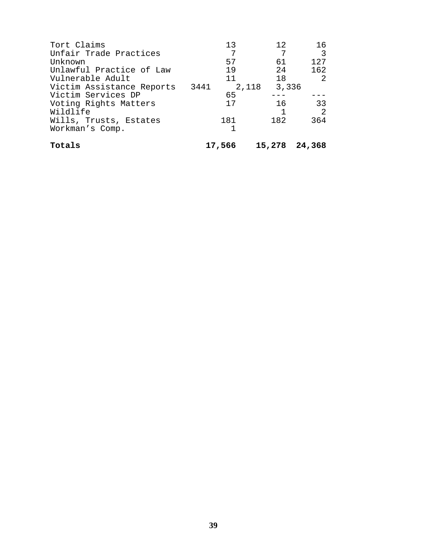| Tort Claims               | 13     | 12.           | 16   |
|---------------------------|--------|---------------|------|
| Unfair Trade Practices    | 7      | 7             | 3    |
| Unknown                   | 57     | 61            | 127  |
| Unlawful Practice of Law  | 19     | 2.4           | 162  |
| Vulnerable Adult          | 11     | 18            | -2   |
| Victim Assistance Reports | 3441   | 2,118 3,336   |      |
| Victim Services DP        | 65     |               |      |
| Voting Rights Matters     | 17     | 16            | 33   |
| Wildlife                  |        |               | - 2. |
| Wills, Trusts, Estates    | 181    | 182           | 364  |
| Workman's Comp.           | 1      |               |      |
| Totals                    | 17,566 | 15,278 24,368 |      |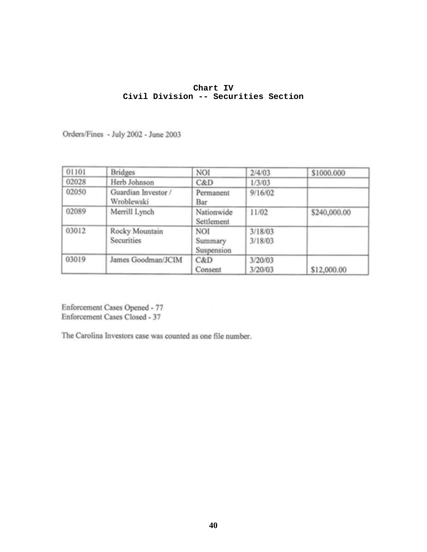## **Chart IV Civil Division -- Securities Section**

Orders/Fines - July 2002 - June 2003

| 01101 | <b>Bridges</b>                    | NOI                                 | 2/4/03             | \$1000.000   |
|-------|-----------------------------------|-------------------------------------|--------------------|--------------|
| 02028 | Herb Johnson                      | C&D                                 | 1/3/03             |              |
| 02050 | Guardian Investor /<br>Wroblewski | Permanent<br>Bar                    | 9/16/02            |              |
| 02089 | Merrill Lynch                     | Nationwide<br>Settlement            | 11/02              | \$240,000.00 |
| 03012 | Rocky Mountain<br>Securities      | <b>NOI</b><br>Summary<br>Suspension | 3/18/03<br>3/18/03 |              |
| 03019 | James Goodman/JCIM                | C&D<br>Consent                      | 3/20/03<br>3/20/03 | \$12,000.00  |

Enforcement Cases Opened - 77 Enforcement Cases Closed - 37

The Carolina Investors case was counted as one file number.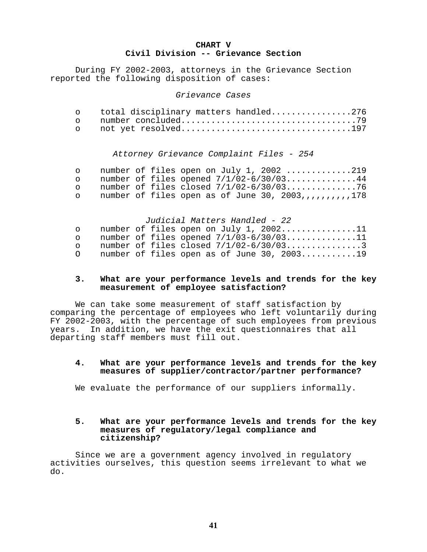## **CHART V Civil Division -- Grievance Section**

 During FY 2002-2003, attorneys in the Grievance Section reported the following disposition of cases:

#### *Grievance Cases*

| o total disciplinary matters handled276 |  |
|-----------------------------------------|--|
|                                         |  |
|                                         |  |

## *Attorney Grievance Complaint Files - 254*

|         |  | o number of files open on July 1, 2002 219              |  |
|---------|--|---------------------------------------------------------|--|
|         |  | o number of files opened $7/1/02-6/30/03$ 44            |  |
|         |  |                                                         |  |
| $\circ$ |  | number of files open as of June 30, 2003,,,,,,,,,,,,178 |  |

#### *Judicial Matters Handled - 22*

| $\cap$ |  | number of files open on July 1, $2002$ 11     |
|--------|--|-----------------------------------------------|
| $\cap$ |  | number of files opened $7/1/03-6/30/03$ 11    |
| $\cap$ |  | number of files closed $7/1/02-6/30/03$ 3     |
|        |  | number of files open as of June 30, $2003$ 19 |

## **3. What are your performance levels and trends for the key measurement of employee satisfaction?**

 We can take some measurement of staff satisfaction by comparing the percentage of employees who left voluntarily during FY 2002-2003, with the percentage of such employees from previous years. In addition, we have the exit questionnaires that all departing staff members must fill out.

## **4. What are your performance levels and trends for the key measures of supplier/contractor/partner performance?**

We evaluate the performance of our suppliers informally.

## **5. What are your performance levels and trends for the key measures of regulatory/legal compliance and citizenship?**

 Since we are a government agency involved in regulatory activities ourselves, this question seems irrelevant to what we do.